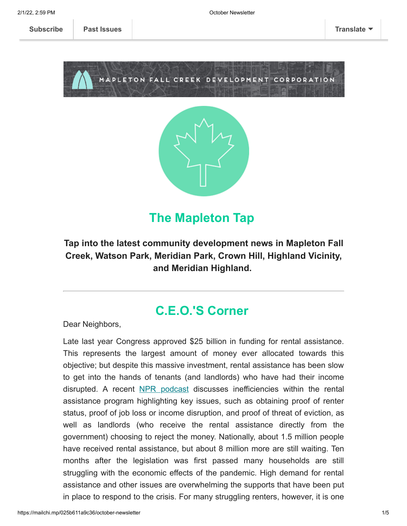**[Subscribe](http://eepurl.com/dg7ppH) [Past Issues](https://us11.campaign-archive.com/home/?u=123f43371c390f9c1cb62ce5d&id=e6d7791531) [Translate](javascript:;)**





### **The Mapleton Tap**

### **Tap into the latest community development news in Mapleton Fall Creek, Watson Park, Meridian Park, Crown Hill, Highland Vicinity, and Meridian Highland.**

### **C.E.O.'S Corner**

Dear Neighbors,

Late last year Congress approved \$25 billion in funding for rental assistance. This represents the largest amount of money ever allocated towards this objective; but despite this massive investment, rental assistance has been slow to get into the hands of tenants (and landlords) who have had their income disrupted. A recent [NPR podcast](https://www.npr.org/2021/10/01/1042525315/the-rent-help-is-too-damn-slow) discusses inefficiencies within the rental assistance program highlighting key issues, such as obtaining proof of renter status, proof of job loss or income disruption, and proof of threat of eviction, as well as landlords (who receive the rental assistance directly from the government) choosing to reject the money. Nationally, about 1.5 million people have received rental assistance, but about 8 million more are still waiting. Ten months after the legislation was first passed many households are still struggling with the economic effects of the pandemic. High demand for rental assistance and other issues are overwhelming the supports that have been put in place to respond to the crisis. For many struggling renters, however, it is one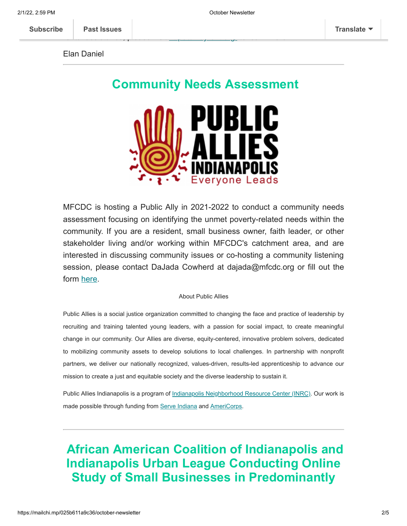Elan Daniel

### **Community Needs Assessment**

rental assistance, please visit https://india.org/ to learn more. The learn more of the learn more of the learn



MFCDC is hosting a Public Ally in 2021-2022 to conduct a community needs assessment focusing on identifying the unmet poverty-related needs within the community. If you are a resident, small business owner, faith leader, or other stakeholder living and/or working within MFCDC's catchment area, and are interested in discussing community issues or co-hosting a community listening session, please contact DaJada Cowherd at dajada@mfcdc.org or fill out the form [here](https://mfcdc.org/resources/comments/).

### About Public Allies

Public Allies is a social justice organization committed to changing the face and practice of leadership by recruiting and training talented young leaders, with a passion for social impact, to create meaningful change in our community. Our Allies are diverse, equity-centered, innovative problem solvers, dedicated to mobilizing community assets to develop solutions to local challenges. In partnership with nonprofit partners, we deliver our nationally recognized, values-driven, results-led apprenticeship to advance our mission to create a just and equitable society and the diverse leadership to sustain it.

Public Allies Indianapolis is a program of [Indianapolis Neighborhood Resource Center \(INRC\)](http://www.inrc.org/). Our work is made possible through funding from [Serve Indiana](https://www.in.gov/serveindiana/) and [AmeriCorps](https://www.nationalservice.gov/).

# **African American Coalition of Indianapolis and Indianapolis Urban League Conducting Online Study of Small Businesses in Predominantly**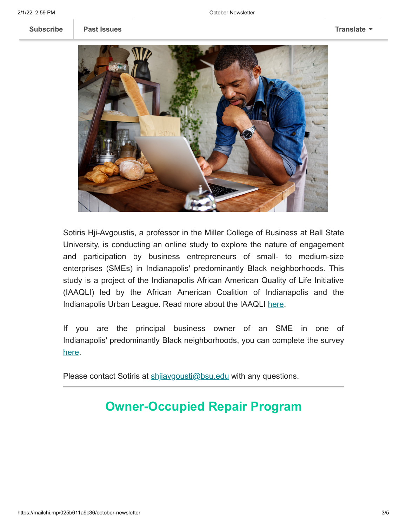**[Subscribe](http://eepurl.com/dg7ppH) [Past Issues](https://us11.campaign-archive.com/home/?u=123f43371c390f9c1cb62ce5d&id=e6d7791531) [Translate](javascript:;)**



Sotiris Hji-Avgoustis, a professor in the Miller College of Business at Ball State University, is conducting an online study to explore the nature of engagement and participation by business entrepreneurs of small- to medium-size enterprises (SMEs) in Indianapolis' predominantly Black neighborhoods. This study is a project of the Indianapolis African American Quality of Life Initiative (IAAQLI) led by the African American Coalition of Indianapolis and the Indianapolis Urban League. Read more about the IAAQLI [here](https://www.indplsul.org/national-urban-league-receives-100-million-grant-for-place-base-quality-of-life-initiative/).

If you are the principal business owner of an SME in one of Indianapolis' predominantly Black neighborhoods, you can complete the survey [here](https://iu.co1.qualtrics.com/jfe/form/SV_9HaYb5cmzaphZHw).

Please contact Sotiris at shijavgousti@bsu.edu with any questions.

# **Owner-Occupied Repair Program**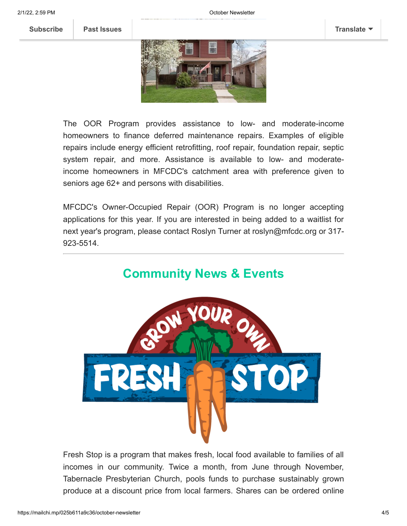The OOR Program provides assistance to low- and moderate-income homeowners to finance deferred maintenance repairs. Examples of eligible repairs include energy efficient retrofitting, roof repair, foundation repair, septic system repair, and more. Assistance is available to low- and moderateincome homeowners in MFCDC's catchment area with preference given to seniors age 62+ and persons with disabilities.

MFCDC's Owner-Occupied Repair (OOR) Program is no longer accepting applications for this year. If you are interested in being added to a waitlist for next year's program, please contact Roslyn Turner at roslyn@mfcdc.org or 317- 923-5514.



Fresh Stop is a program that makes fresh, local food available to families of all incomes in our community. Twice a month, from June through November, Tabernacle Presbyterian Church, pools funds to purchase sustainably grown produce at a discount price from local farmers. Shares can be ordered online